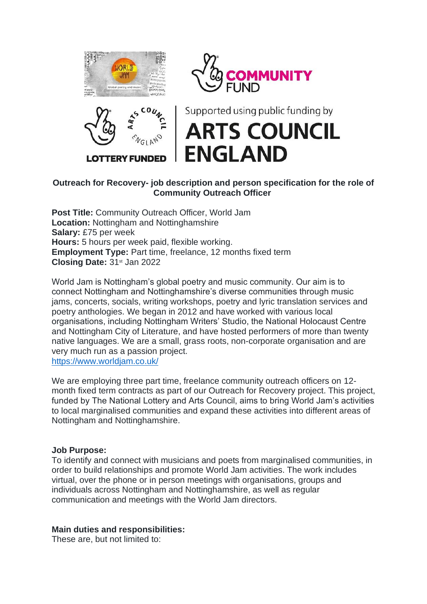





Supported using public funding by **ARTS COUNCIL ENGLAND** 

# **Outreach for Recovery- job description and person specification for the role of Community Outreach Officer**

**Post Title:** Community Outreach Officer, World Jam **Location:** Nottingham and Nottinghamshire **Salary:** £75 per week **Hours:** 5 hours per week paid, flexible working. **Employment Type:** Part time, freelance, 12 months fixed term **Closing Date:** 31st Jan 2022

World Jam is Nottingham's global poetry and music community. Our aim is to connect Nottingham and Nottinghamshire's diverse communities through music jams, concerts, socials, writing workshops, poetry and lyric translation services and poetry anthologies. We began in 2012 and have worked with various local organisations, including Nottingham Writers' Studio, the National Holocaust Centre and Nottingham City of Literature, and have hosted performers of more than twenty native languages. We are a small, grass roots, non-corporate organisation and are very much run as a passion project.

<https://www.worldjam.co.uk/>

We are employing three part time, freelance community outreach officers on 12 month fixed term contracts as part of our Outreach for Recovery project. This project, funded by The National Lottery and Arts Council, aims to bring World Jam's activities to local marginalised communities and expand these activities into different areas of Nottingham and Nottinghamshire.

## **Job Purpose:**

To identify and connect with musicians and poets from marginalised communities, in order to build relationships and promote World Jam activities. The work includes virtual, over the phone or in person meetings with organisations, groups and individuals across Nottingham and Nottinghamshire, as well as regular communication and meetings with the World Jam directors.

#### **Main duties and responsibilities:**

These are, but not limited to: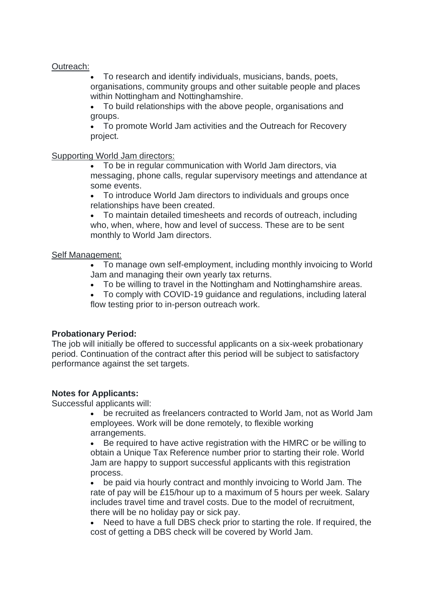## Outreach:

• To research and identify individuals, musicians, bands, poets, organisations, community groups and other suitable people and places within Nottingham and Nottinghamshire.

• To build relationships with the above people, organisations and groups.

• To promote World Jam activities and the Outreach for Recovery project.

#### Supporting World Jam directors:

• To be in regular communication with World Jam directors, via messaging, phone calls, regular supervisory meetings and attendance at some events.

• To introduce World Jam directors to individuals and groups once relationships have been created.

• To maintain detailed timesheets and records of outreach, including who, when, where, how and level of success. These are to be sent monthly to World Jam directors.

## Self Management:

• To manage own self-employment, including monthly invoicing to World Jam and managing their own yearly tax returns.

• To be willing to travel in the Nottingham and Nottinghamshire areas.<br>• To comply with COVID-19 quidance and requilations including laters

• To comply with COVID-19 guidance and regulations, including lateral flow testing prior to in-person outreach work.

## **Probationary Period:**

The job will initially be offered to successful applicants on a six-week probationary period. Continuation of the contract after this period will be subject to satisfactory performance against the set targets.

## **Notes for Applicants:**

Successful applicants will:

• be recruited as freelancers contracted to World Jam, not as World Jam employees. Work will be done remotely, to flexible working arrangements.

• Be required to have active registration with the HMRC or be willing to obtain a Unique Tax Reference number prior to starting their role. World Jam are happy to support successful applicants with this registration process.

• be paid via hourly contract and monthly invoicing to World Jam. The rate of pay will be £15/hour up to a maximum of 5 hours per week. Salary includes travel time and travel costs. Due to the model of recruitment, there will be no holiday pay or sick pay.

Need to have a full DBS check prior to starting the role. If required, the cost of getting a DBS check will be covered by World Jam.